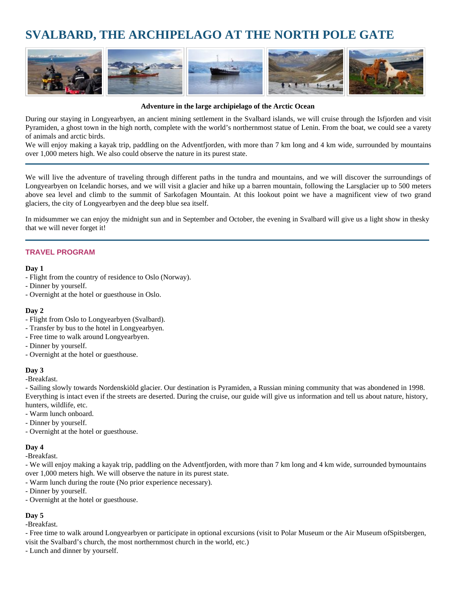# **SVALBARD, THE ARCHIPELAGO AT THE NORTH POLE GATE**



#### **Adventure in the large archipielago of the Arctic Ocean**

During our staying in Longyearbyen, an ancient mining settlement in the Svalbard islands, we will cruise through the Isfjorden and visit Pyramiden, a ghost town in the high north, complete with the world's northernmost statue of Lenin. From the boat, we could see a varety of animals and arctic birds.

We will enjoy making a kayak trip, paddling on the Adventfjorden, with more than 7 km long and 4 km wide, surrounded by mountains over 1,000 meters high. We also could observe the nature in its purest state.

We will live the adventure of traveling through different paths in the tundra and mountains, and we will discover the surroundings of Longyearbyen on Icelandic horses, and we will visit a glacier and hike up a barren mountain, following the Larsglacier up to 500 meters above sea level and climb to the summit of Sarkofagen Mountain. At this lookout point we have a magnificent view of two grand glaciers, the city of Longyearbyen and the deep blue sea itself.

In midsummer we can enjoy the midnight sun and in September and October, the evening in Svalbard will give us a light show in thesky that we will never forget it!

#### **TRAVEL PROGRAM**

#### **Day 1**

- Flight from the country of residence to Oslo (Norway).
- Dinner by yourself.
- Overnight at the hotel or guesthouse in Oslo.

#### **Day 2**

- Flight from Oslo to Longyearbyen (Svalbard).
- Transfer by bus to the hotel in Longyearbyen.
- Free time to walk around Longyearbyen.
- Dinner by yourself.
- Overnight at the hotel or guesthouse.

## **Day 3**

-Breakfast.

- Sailing slowly towards Nordenskiöld glacier. Our destination is Pyramiden, a Russian mining community that was abondened in 1998. Everything is intact even if the streets are deserted. During the cruise, our guide will give us information and tell us about nature, history, hunters, wildlife, etc.

- Warm lunch onboard.
- Dinner by yourself.
- Overnight at the hotel or guesthouse.

#### **Day 4**

-Breakfast.

- We will enjoy making a kayak trip, paddling on the Adventfjorden, with more than 7 km long and 4 km wide, surrounded by mountains over 1,000 meters high. We will observe the nature in its purest state.

- Warm lunch during the route (No prior experience necessary).
- Dinner by yourself.
- Overnight at the hotel or guesthouse.

# **Day 5**

-Breakfast.

- Free time to walk around Longyearbyen or participate in optional excursions (visit to Polar Museum or the Air Museum of Spitsbergen,

visit the Svalbard's church, the most northernmost church in the world, etc.)

- Lunch and dinner by yourself.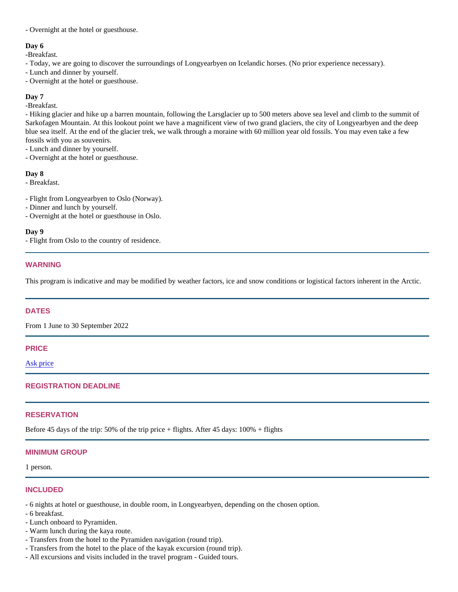- Overnight at the hotel or guesthouse.

# Day 6

-Breakfast.

- Today, we are going to discover the surroundings of Longyearbyen on Icelandic horses. (No prior experience necessary).
- Lunch and dinner by yourself.
- Overnight at the hotel or guesthouse.

## Day 7

-Breakfast.

- Hiking glacier and hike up a barren mountain, following the Larsglacier up to 500 meters above sea level and climb to the summit of Sarkofagen Mountain. At this lookout point we have a magnificent view of two grand glaciers, the city of Longyearbyen and the deep blue sea itself. At the end of the glacier trek, we walk through a moraine with 60 million year old fossils. You may even take a few fossils with you as souvenirs.

- Lunch and dinner by yourself.

- Overnight at the hotel or guesthouse.

Day 8

- Breakfast.
- Flight from Longyearbyen to Oslo (Norway).
- Dinner and lunch by yourself.
- Overnight at the hotel or guesthouse in Oslo.

Day 9

- Flight from Oslo to the country of residence.

# WARNING

This program is indicative and may be modified by weather factors, ice and snow conditions or logistical factors inherent in the Arctic.

## DATES

From 1 June to 30 September 2022

## PRICE

[Ask price](mailto:info@arctic-world.com?subject=Svalbard, the archipelago at the North Pole gate)

# REGISTRATION DEADLINE

# **RESERVATION**

Before 45 days of the trip: 50% of the trip price + flights. After 45 days: 100% + flights

# MINIMUM GROUP

1 person.

## INCLUDED

- 6 nights at hotel or guesthouse, in double room, in Longyearbyen, depending on the chosen option.
- 6 breakfast.
- Lunch onboard to Pyramiden.
- Warm lunch during the kaya route.
- Transfers from the hotel to the Pyramiden navigation (round trip).
- Transfers from the hotel to the place of the kayak excursion (round trip).
- All excursions and visits included in the travel program Guided tours.